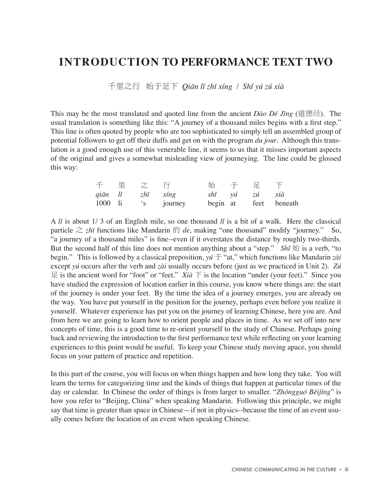## **INTRODUCTION TO PERFORMANCE TEXT TWO**

千里之行 始于足下 *Qiän lî zhï xíng* / *Shî yú zú xià*

This may be the most translated and quoted line from the ancient *Dào Dé Jïng* (道德经). The usual translation is something like this: "A journey of a thousand miles begins with a first step." This line is often quoted by people who are too sophisticated to simply tell an assembled group of potential followers to get off their duffs and get on with the program *du jour*. Although this translation is a good enough use of this venerable line, it seems to us that it misses important aspects of the original and gives a somewhat misleading view of journeying. The line could be glossed this way:

|  | 千里之行             |                                          |               | ちゅうしゃ おおし かんてき 足がって 下る かいしゃ かいしゃ |  |
|--|------------------|------------------------------------------|---------------|----------------------------------|--|
|  | qiān lǐ zhī xíng |                                          | shǐ yú zú xià |                                  |  |
|  |                  | 1000 li 's journey begin at feet beneath |               |                                  |  |

A *lî* is about 1/ 3 of an English mile, so one thousand *lî* is a bit of a walk. Here the classical particle  $\geq z\hbar\bar{\imath}$  functions like Mandarin  $\dot{\uparrow}$  *de*, making "one thousand" modify "journey." So, "a journey of a thousand miles" is fine--even if it overstates the distance by roughly two-thirds. But the second half of this line does not mention anything about a "step." *Shi*  $\frac{1}{10}$  is a verb, "to begin." This is followed by a classical preposition, *yú* 于 "at," which functions like Mandarin *zài* except *yú* occurs after the verb and *zài* usually occurs before (just as we practiced in Unit 2). *Zú*  $E$  is the ancient word for "foot" or "feet." *Xià*  $\overline{F}$  is the location "under (your feet)." Since you have studied the expression of location earlier in this course, you know where things are: the start of the journey is under your feet. By the time the idea of a journey emerges, you are already on the way. You have put yourself in the position for the journey, perhaps even before you realize it yourself. Whatever experience has put you on the journey of learning Chinese, here you are. And from here we are going to learn how to orient people and places in time. As we set off into new concepts of time, this is a good time to re-orient yourself to the study of Chinese. Perhaps going back and reviewing the introduction to the first performance text while reflecting on your learning experiences to this point would be useful. To keep your Chinese study moving apace, you should focus on your pattern of practice and repetition.

In this part of the course, you will focus on when things happen and how long they take. You will learn the terms for categorizing time and the kinds of things that happen at particular times of the day or calendar. In Chinese the order of things is from larger to smaller. "*Zhöngguó Bêijïng*" is how you refer to "Beijing, China" when speaking Mandarin. Following this principle, we might say that time is greater than space in Chinese—if not in physics--because the time of an event usually comes before the location of an event when speaking Chinese.